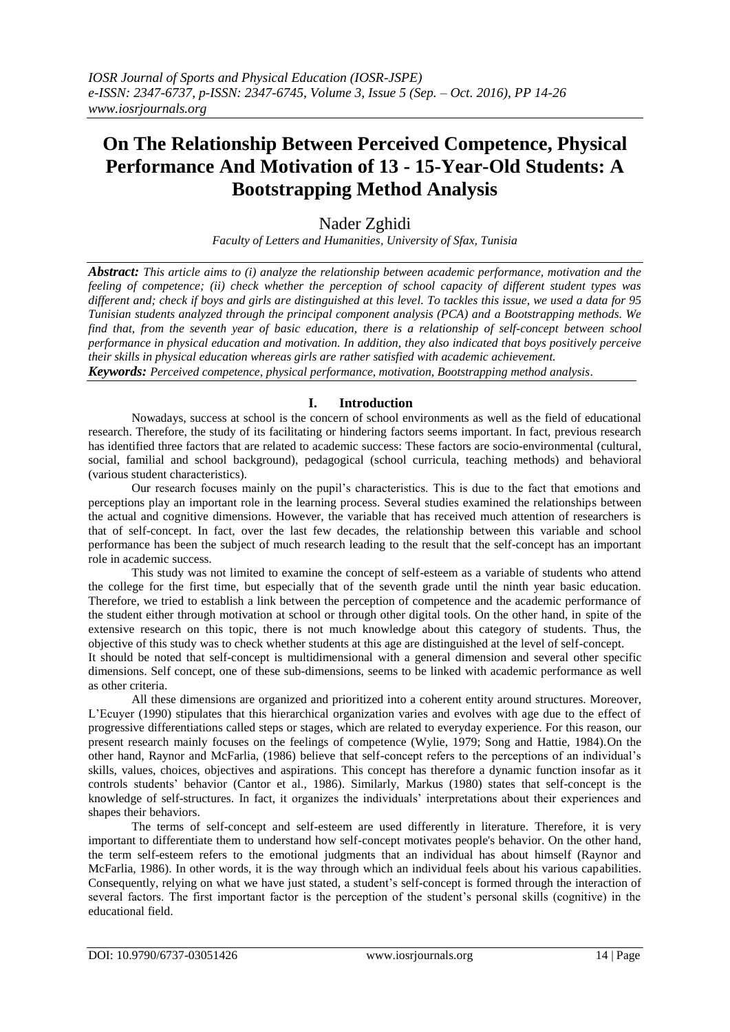# **On The Relationship Between Perceived Competence, Physical Performance And Motivation of 13 - 15-Year-Old Students: A Bootstrapping Method Analysis**

## Nader Zghidi

*Faculty of Letters and Humanities, University of Sfax, Tunisia*

*Abstract: This article aims to (i) analyze the relationship between academic performance, motivation and the feeling of competence; (ii) check whether the perception of school capacity of different student types was different and; check if boys and girls are distinguished at this level. To tackles this issue, we used a data for 95 Tunisian students analyzed through the principal component analysis (PCA) and a Bootstrapping methods. We find that, from the seventh year of basic education, there is a relationship of self-concept between school performance in physical education and motivation. In addition, they also indicated that boys positively perceive their skills in physical education whereas girls are rather satisfied with academic achievement.*

*Keywords: Perceived competence, physical performance, motivation, Bootstrapping method analysis*.

## **I. Introduction**

Nowadays, success at school is the concern of school environments as well as the field of educational research. Therefore, the study of its facilitating or hindering factors seems important. In fact, previous research has identified three factors that are related to academic success: These factors are socio-environmental (cultural, social, familial and school background), pedagogical (school curricula, teaching methods) and behavioral (various student characteristics).

Our research focuses mainly on the pupil's characteristics. This is due to the fact that emotions and perceptions play an important role in the learning process. Several studies examined the relationships between the actual and cognitive dimensions. However, the variable that has received much attention of researchers is that of self-concept. In fact, over the last few decades, the relationship between this variable and school performance has been the subject of much research leading to the result that the self-concept has an important role in academic success.

This study was not limited to examine the concept of self-esteem as a variable of students who attend the college for the first time, but especially that of the seventh grade until the ninth year basic education. Therefore, we tried to establish a link between the perception of competence and the academic performance of the student either through motivation at school or through other digital tools. On the other hand, in spite of the extensive research on this topic, there is not much knowledge about this category of students. Thus, the objective of this study was to check whether students at this age are distinguished at the level of self-concept.

It should be noted that self-concept is multidimensional with a general dimension and several other specific dimensions. Self concept, one of these sub-dimensions, seems to be linked with academic performance as well as other criteria.

All these dimensions are organized and prioritized into a coherent entity around structures. Moreover, L'Ecuyer (1990) stipulates that this hierarchical organization varies and evolves with age due to the effect of progressive differentiations called steps or stages, which are related to everyday experience. For this reason, our present research mainly focuses on the feelings of competence (Wylie, 1979; Song and Hattie, 1984).On the other hand, Raynor and McFarlia, (1986) believe that self-concept refers to the perceptions of an individual's skills, values, choices, objectives and aspirations. This concept has therefore a dynamic function insofar as it controls students' behavior (Cantor et al., 1986). Similarly, Markus (1980) states that self-concept is the knowledge of self-structures. In fact, it organizes the individuals' interpretations about their experiences and shapes their behaviors.

The terms of self-concept and self-esteem are used differently in literature. Therefore, it is very important to differentiate them to understand how self-concept motivates people's behavior. On the other hand, the term self-esteem refers to the emotional judgments that an individual has about himself (Raynor and McFarlia, 1986). In other words, it is the way through which an individual feels about his various capabilities. Consequently, relying on what we have just stated, a student's self-concept is formed through the interaction of several factors. The first important factor is the perception of the student's personal skills (cognitive) in the educational field.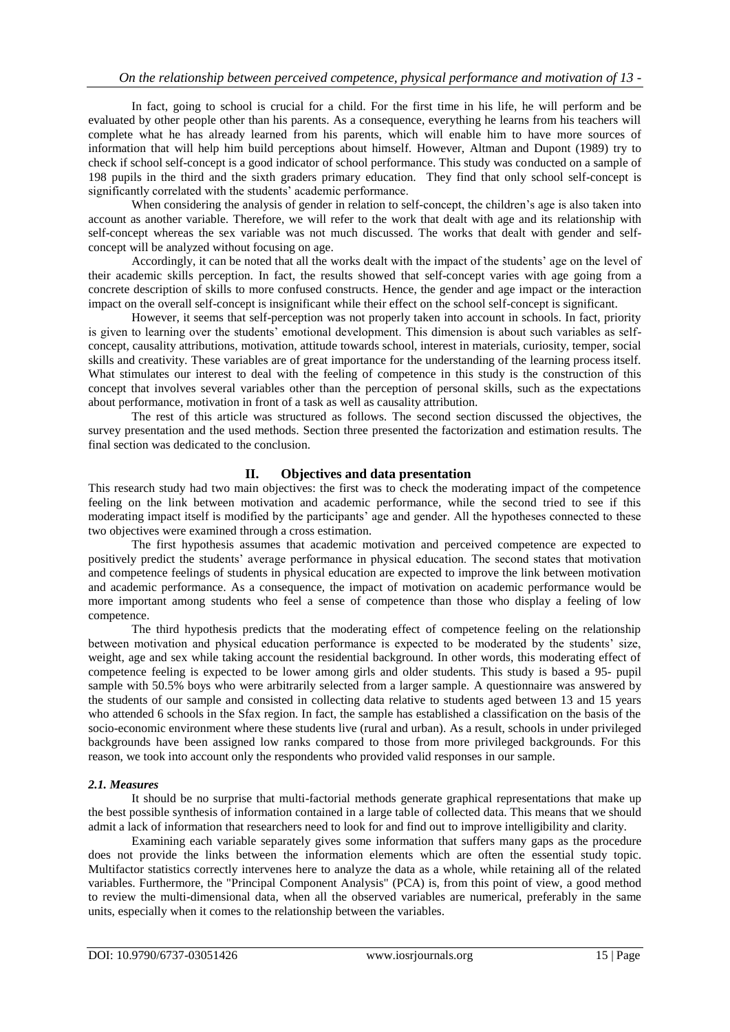In fact, going to school is crucial for a child. For the first time in his life, he will perform and be evaluated by other people other than his parents. As a consequence, everything he learns from his teachers will complete what he has already learned from his parents, which will enable him to have more sources of information that will help him build perceptions about himself. However, Altman and Dupont (1989) try to check if school self-concept is a good indicator of school performance. This study was conducted on a sample of 198 pupils in the third and the sixth graders primary education. They find that only school self-concept is significantly correlated with the students' academic performance.

When considering the analysis of gender in relation to self-concept, the children's age is also taken into account as another variable. Therefore, we will refer to the work that dealt with age and its relationship with self-concept whereas the sex variable was not much discussed. The works that dealt with gender and selfconcept will be analyzed without focusing on age.

Accordingly, it can be noted that all the works dealt with the impact of the students' age on the level of their academic skills perception. In fact, the results showed that self-concept varies with age going from a concrete description of skills to more confused constructs. Hence, the gender and age impact or the interaction impact on the overall self-concept is insignificant while their effect on the school self-concept is significant.

However, it seems that self-perception was not properly taken into account in schools. In fact, priority is given to learning over the students' emotional development. This dimension is about such variables as selfconcept, causality attributions, motivation, attitude towards school, interest in materials, curiosity, temper, social skills and creativity. These variables are of great importance for the understanding of the learning process itself. What stimulates our interest to deal with the feeling of competence in this study is the construction of this concept that involves several variables other than the perception of personal skills, such as the expectations about performance, motivation in front of a task as well as causality attribution.

The rest of this article was structured as follows. The second section discussed the objectives, the survey presentation and the used methods. Section three presented the factorization and estimation results. The final section was dedicated to the conclusion.

### **II. Objectives and data presentation**

This research study had two main objectives: the first was to check the moderating impact of the competence feeling on the link between motivation and academic performance, while the second tried to see if this moderating impact itself is modified by the participants' age and gender. All the hypotheses connected to these two objectives were examined through a cross estimation.

The first hypothesis assumes that academic motivation and perceived competence are expected to positively predict the students' average performance in physical education. The second states that motivation and competence feelings of students in physical education are expected to improve the link between motivation and academic performance. As a consequence, the impact of motivation on academic performance would be more important among students who feel a sense of competence than those who display a feeling of low competence.

The third hypothesis predicts that the moderating effect of competence feeling on the relationship between motivation and physical education performance is expected to be moderated by the students' size, weight, age and sex while taking account the residential background. In other words, this moderating effect of competence feeling is expected to be lower among girls and older students. This study is based a 95- pupil sample with 50.5% boys who were arbitrarily selected from a larger sample. A questionnaire was answered by the students of our sample and consisted in collecting data relative to students aged between 13 and 15 years who attended 6 schools in the Sfax region. In fact, the sample has established a classification on the basis of the socio-economic environment where these students live (rural and urban). As a result, schools in under privileged backgrounds have been assigned low ranks compared to those from more privileged backgrounds. For this reason, we took into account only the respondents who provided valid responses in our sample.

### *2.1. Measures*

It should be no surprise that multi-factorial methods generate graphical representations that make up the best possible synthesis of information contained in a large table of collected data. This means that we should admit a lack of information that researchers need to look for and find out to improve intelligibility and clarity.

Examining each variable separately gives some information that suffers many gaps as the procedure does not provide the links between the information elements which are often the essential study topic. Multifactor statistics correctly intervenes here to analyze the data as a whole, while retaining all of the related variables. Furthermore, the "Principal Component Analysis" (PCA) is, from this point of view, a good method to review the multi-dimensional data, when all the observed variables are numerical, preferably in the same units, especially when it comes to the relationship between the variables.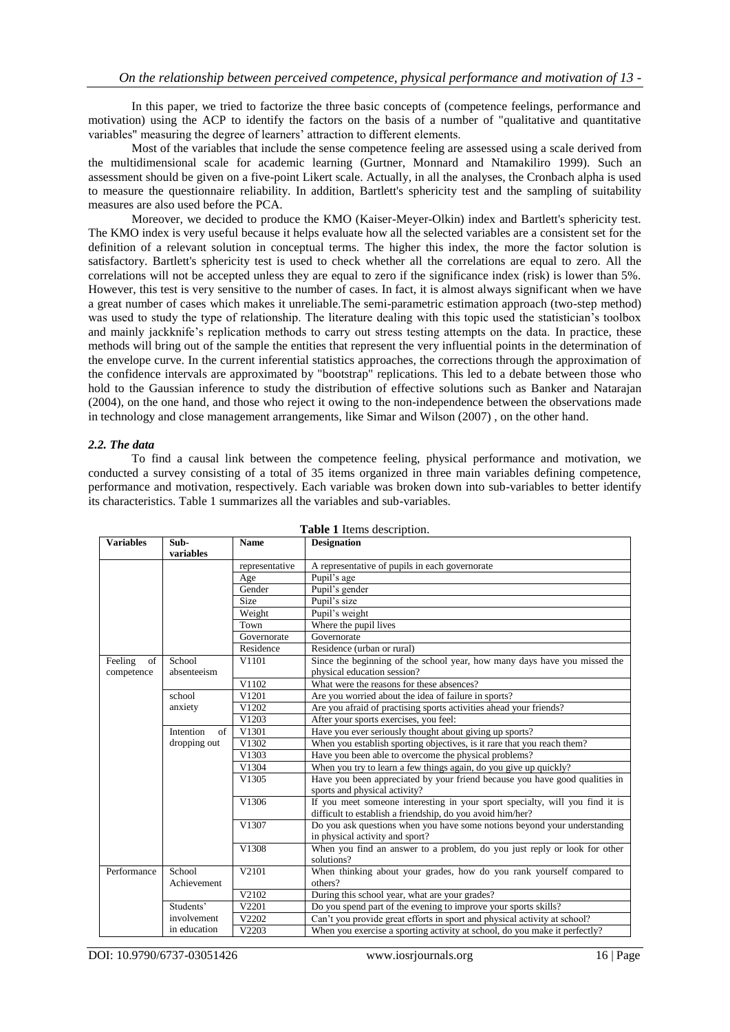In this paper, we tried to factorize the three basic concepts of (competence feelings, performance and motivation) using the ACP to identify the factors on the basis of a number of "qualitative and quantitative variables" measuring the degree of learners' attraction to different elements.

Most of the variables that include the sense competence feeling are assessed using a scale derived from the multidimensional scale for academic learning (Gurtner, Monnard and Ntamakiliro 1999). Such an assessment should be given on a five-point Likert scale. Actually, in all the analyses, the Cronbach alpha is used to measure the questionnaire reliability. In addition, Bartlett's sphericity test and the sampling of suitability measures are also used before the PCA.

Moreover, we decided to produce the KMO (Kaiser-Meyer-Olkin) index and Bartlett's sphericity test. The KMO index is very useful because it helps evaluate how all the selected variables are a consistent set for the definition of a relevant solution in conceptual terms. The higher this index, the more the factor solution is satisfactory. Bartlett's sphericity test is used to check whether all the correlations are equal to zero. All the correlations will not be accepted unless they are equal to zero if the significance index (risk) is lower than 5%. However, this test is very sensitive to the number of cases. In fact, it is almost always significant when we have a great number of cases which makes it unreliable.The semi-parametric estimation approach (two-step method) was used to study the type of relationship. The literature dealing with this topic used the statistician's toolbox and mainly jackknife's replication methods to carry out stress testing attempts on the data. In practice, these methods will bring out of the sample the entities that represent the very influential points in the determination of the envelope curve. In the current inferential statistics approaches, the corrections through the approximation of the confidence intervals are approximated by "bootstrap" replications. This led to a debate between those who hold to the Gaussian inference to study the distribution of effective solutions such as Banker and Natarajan (2004), on the one hand, and those who reject it owing to the non-independence between the observations made in technology and close management arrangements, like Simar and Wilson (2007) , on the other hand.

#### *2.2. The data*

To find a causal link between the competence feeling, physical performance and motivation, we conducted a survey consisting of a total of 35 items organized in three main variables defining competence, performance and motivation, respectively. Each variable was broken down into sub-variables to better identify its characteristics. Table 1 summarizes all the variables and sub-variables.

| <b>Variables</b>            | Sub-                                                                                                | <b>Name</b>    | <b>Designation</b>                                                                                                                         |  |  |
|-----------------------------|-----------------------------------------------------------------------------------------------------|----------------|--------------------------------------------------------------------------------------------------------------------------------------------|--|--|
|                             | variables                                                                                           |                |                                                                                                                                            |  |  |
|                             |                                                                                                     | representative | A representative of pupils in each governorate                                                                                             |  |  |
|                             |                                                                                                     | Age            | Pupil's age                                                                                                                                |  |  |
|                             |                                                                                                     | Gender         | Pupil's gender                                                                                                                             |  |  |
|                             |                                                                                                     | <b>Size</b>    | Pupil's size                                                                                                                               |  |  |
|                             |                                                                                                     | Weight         | Pupil's weight                                                                                                                             |  |  |
|                             |                                                                                                     | Town           | Where the pupil lives                                                                                                                      |  |  |
|                             |                                                                                                     | Governorate    | Governorate                                                                                                                                |  |  |
|                             |                                                                                                     | Residence      | Residence (urban or rural)                                                                                                                 |  |  |
| Feeling<br>of<br>competence | School<br>absenteeism                                                                               | V1101          | Since the beginning of the school year, how many days have you missed the<br>physical education session?                                   |  |  |
|                             |                                                                                                     | V1102          | What were the reasons for these absences?                                                                                                  |  |  |
|                             | school                                                                                              | V1201          | Are you worried about the idea of failure in sports?                                                                                       |  |  |
|                             | anxiety                                                                                             | V1202          | Are you afraid of practising sports activities ahead your friends?                                                                         |  |  |
| V1203                       |                                                                                                     |                | After your sports exercises, you feel:                                                                                                     |  |  |
|                             | of<br>Intention<br>V1301                                                                            |                | Have you ever seriously thought about giving up sports?                                                                                    |  |  |
|                             | dropping out                                                                                        | V1302          | When you establish sporting objectives, is it rare that you reach them?                                                                    |  |  |
|                             |                                                                                                     | V1303          | Have you been able to overcome the physical problems?                                                                                      |  |  |
|                             |                                                                                                     | V1304          | When you try to learn a few things again, do you give up quickly?                                                                          |  |  |
|                             |                                                                                                     | V1305          | Have you been appreciated by your friend because you have good qualities in<br>sports and physical activity?                               |  |  |
|                             |                                                                                                     | V1306          | If you meet someone interesting in your sport specialty, will you find it is<br>difficult to establish a friendship, do you avoid him/her? |  |  |
|                             |                                                                                                     | V1307          | Do you ask questions when you have some notions beyond your understanding<br>in physical activity and sport?                               |  |  |
|                             |                                                                                                     | V1308          | When you find an answer to a problem, do you just reply or look for other<br>solutions?                                                    |  |  |
| Performance                 | School<br>Achievement                                                                               | V2101          | When thinking about your grades, how do you rank yourself compared to<br>others?                                                           |  |  |
|                             |                                                                                                     | V2102          | During this school year, what are your grades?                                                                                             |  |  |
|                             | Students'                                                                                           | V2201          | Do you spend part of the evening to improve your sports skills?                                                                            |  |  |
|                             | involvement                                                                                         | V2202          | Can't you provide great efforts in sport and physical activity at school?                                                                  |  |  |
|                             | in education<br>V2203<br>When you exercise a sporting activity at school, do you make it perfectly? |                |                                                                                                                                            |  |  |

**Table 1** Items description.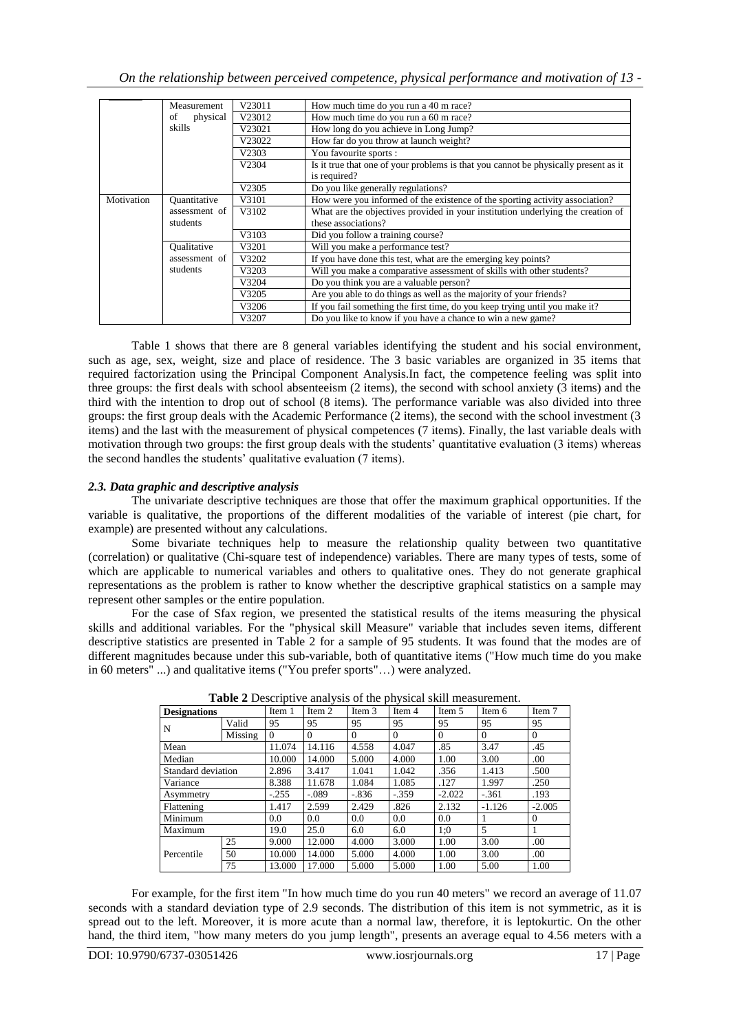|            | Measurement         | V23011                                                                                | How much time do you run a 40 m race?                                               |  |  |
|------------|---------------------|---------------------------------------------------------------------------------------|-------------------------------------------------------------------------------------|--|--|
|            | physical<br>οf      | V23012                                                                                | How much time do you run a 60 m race?                                               |  |  |
|            | skills              | V23021                                                                                | How long do you achieve in Long Jump?                                               |  |  |
|            |                     | V23022                                                                                | How far do you throw at launch weight?                                              |  |  |
|            |                     | V2303                                                                                 | You favourite sports :                                                              |  |  |
|            |                     | V2304                                                                                 | Is it true that one of your problems is that you cannot be physically present as it |  |  |
|            |                     |                                                                                       | is required?                                                                        |  |  |
|            |                     | V2305                                                                                 | Do you like generally regulations?                                                  |  |  |
| Motivation | <b>Ouantitative</b> | How were you informed of the existence of the sporting activity association?<br>V3101 |                                                                                     |  |  |
|            | assessment of       | V3102                                                                                 | What are the objectives provided in your institution underlying the creation of     |  |  |
|            | students            |                                                                                       | these associations?                                                                 |  |  |
|            |                     | V3103                                                                                 | Did you follow a training course?                                                   |  |  |
|            | <b>Qualitative</b>  | V3201                                                                                 | Will you make a performance test?                                                   |  |  |
|            | assessment of       | V3202                                                                                 | If you have done this test, what are the emerging key points?                       |  |  |
|            | students            | V3203                                                                                 | Will you make a comparative assessment of skills with other students?               |  |  |
|            |                     | V3204                                                                                 | Do you think you are a valuable person?                                             |  |  |
|            |                     | V3205                                                                                 | Are you able to do things as well as the majority of your friends?                  |  |  |
|            |                     | V3206                                                                                 | If you fail something the first time, do you keep trying until you make it?         |  |  |
|            |                     | V3207                                                                                 | Do you like to know if you have a chance to win a new game?                         |  |  |

Table 1 shows that there are 8 general variables identifying the student and his social environment, such as age, sex, weight, size and place of residence. The 3 basic variables are organized in 35 items that required factorization using the Principal Component Analysis.In fact, the competence feeling was split into three groups: the first deals with school absenteeism (2 items), the second with school anxiety (3 items) and the third with the intention to drop out of school (8 items). The performance variable was also divided into three groups: the first group deals with the Academic Performance (2 items), the second with the school investment (3 items) and the last with the measurement of physical competences (7 items). Finally, the last variable deals with motivation through two groups: the first group deals with the students' quantitative evaluation (3 items) whereas the second handles the students' qualitative evaluation (7 items).

#### *2.3. Data graphic and descriptive analysis*

The univariate descriptive techniques are those that offer the maximum graphical opportunities. If the variable is qualitative, the proportions of the different modalities of the variable of interest (pie chart, for example) are presented without any calculations.

Some bivariate techniques help to measure the relationship quality between two quantitative (correlation) or qualitative (Chi-square test of independence) variables. There are many types of tests, some of which are applicable to numerical variables and others to qualitative ones. They do not generate graphical representations as the problem is rather to know whether the descriptive graphical statistics on a sample may represent other samples or the entire population.

For the case of Sfax region, we presented the statistical results of the items measuring the physical skills and additional variables. For the "physical skill Measure" variable that includes seven items, different descriptive statistics are presented in Table 2 for a sample of 95 students. It was found that the modes are of different magnitudes because under this sub-variable, both of quantitative items ("How much time do you make in 60 meters" ...) and qualitative items ("You prefer sports"…) were analyzed.

| <b>Designations</b> |         | Item 1   | Item 2   | Item 3   | Item 4   | Item 5   | Item 6         | Item 7   |
|---------------------|---------|----------|----------|----------|----------|----------|----------------|----------|
| N                   | Valid   | 95       | 95       | 95       | 95       | 95       | 95             | 95       |
|                     | Missing | $\Omega$ | $\Omega$ | $\Omega$ | $\Omega$ | $\Omega$ | $\Omega$       | $\Omega$ |
| Mean                |         | 11.074   | 14.116   | 4.558    | 4.047    | .85      | 3.47           | .45      |
| Median              |         | 10.000   | 14.000   | 5.000    | 4.000    | 1.00     | 3.00           | .00      |
| Standard deviation  |         | 2.896    | 3.417    | 1.041    | 1.042    | .356     | 1.413          | .500     |
| Variance            |         | 8.388    | 11.678   | 1.084    | 1.085    | .127     | 1.997          | .250     |
| Asymmetry           |         | $-.255$  | $-.089$  | $-.836$  | $-.359$  | $-2.022$ | $-.361$        | .193     |
| Flattening          |         | 1.417    | 2.599    | 2.429    | .826     | 2.132    | $-1.126$       | $-2.005$ |
| Minimum             |         | 0.0      | 0.0      | 0.0      | 0.0      | 0.0      |                | $\Omega$ |
| Maximum             |         | 19.0     | 25.0     | 6.0      | 6.0      | 1:0      | $\overline{5}$ |          |
|                     | 25      | 9.000    | 12.000   | 4.000    | 3.000    | 1.00     | 3.00           | .00      |
| Percentile          | 50      | 10.000   | 14.000   | 5.000    | 4.000    | 1.00     | 3.00           | .00      |
|                     | 75      | 13.000   | 17.000   | 5.000    | 5.000    | 1.00     | 5.00           | 1.00     |

**Table 2** Descriptive analysis of the physical skill measurement.

For example, for the first item "In how much time do you run 40 meters" we record an average of 11.07 seconds with a standard deviation type of 2.9 seconds. The distribution of this item is not symmetric, as it is spread out to the left. Moreover, it is more acute than a normal law, therefore, it is leptokurtic. On the other hand, the third item, "how many meters do you jump length", presents an average equal to 4.56 meters with a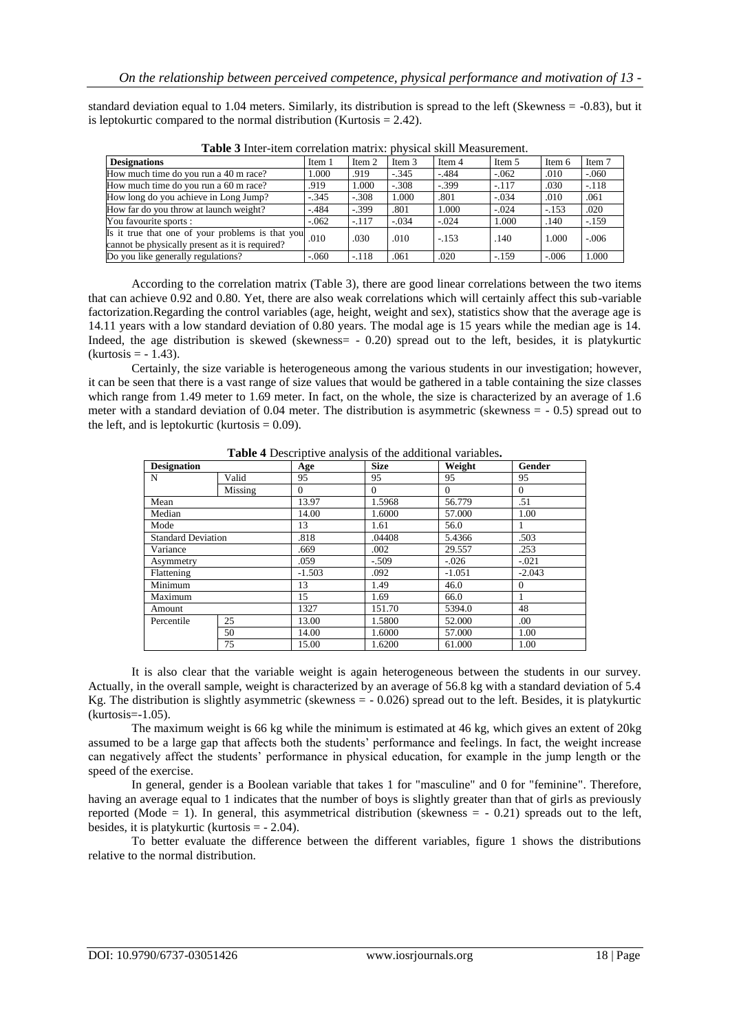standard deviation equal to 1.04 meters. Similarly, its distribution is spread to the left (Skewness  $= -0.83$ ), but it is leptokurtic compared to the normal distribution (Kurtosis  $= 2.42$ ).

| Item 3  | Item 4 | Item 5                                             | Item 6 | Item 7                                             |
|---------|--------|----------------------------------------------------|--------|----------------------------------------------------|
|         |        |                                                    |        |                                                    |
|         |        | $-.062$                                            | .010   | $-.060$                                            |
| $-.308$ |        | $-.117$                                            |        | $-.118$                                            |
| 1.000   | .801   | $-.034$                                            |        | .061                                               |
| .801    | 1.000  | $-.024$                                            |        | .020                                               |
| $-.034$ |        | 1.000                                              |        | $-.159$                                            |
| .010    |        | .140                                               |        | $-.006$                                            |
| .061    | .020   |                                                    |        | 1.000                                              |
|         |        | $-.345$<br>$-.484$<br>$-.399$<br>$-.024$<br>$-153$ | $-159$ | .030<br>.010<br>$-153$<br>.140<br>1.000<br>$-.006$ |

**Table 3** Inter-item correlation matrix: physical skill Measurement.

According to the correlation matrix (Table 3), there are good linear correlations between the two items that can achieve 0.92 and 0.80. Yet, there are also weak correlations which will certainly affect this sub-variable factorization.Regarding the control variables (age, height, weight and sex), statistics show that the average age is 14.11 years with a low standard deviation of 0.80 years. The modal age is 15 years while the median age is 14. Indeed, the age distribution is skewed (skewness= - 0.20) spread out to the left, besides, it is platykurtic  $(kurtosis = -1.43)$ .

Certainly, the size variable is heterogeneous among the various students in our investigation; however, it can be seen that there is a vast range of size values that would be gathered in a table containing the size classes which range from 1.49 meter to 1.69 meter. In fact, on the whole, the size is characterized by an average of 1.6 meter with a standard deviation of 0.04 meter. The distribution is asymmetric (skewness = - 0.5) spread out to the left, and is leptokurtic (kurtosis  $= 0.09$ ).

| <b>Designation</b>        |         | Age      | <b>Size</b> | Weight   | Gender   |
|---------------------------|---------|----------|-------------|----------|----------|
| N                         | Valid   | 95       | 95          | 95       | 95       |
|                           | Missing | $\Omega$ | $\Omega$    | $\Omega$ | $\Omega$ |
| Mean                      |         | 13.97    | 1.5968      | 56.779   | .51      |
| Median                    |         | 14.00    | 1.6000      | 57.000   | 1.00     |
| Mode                      |         | 13       | 1.61        | 56.0     |          |
| <b>Standard Deviation</b> |         | .818     | .04408      | 5.4366   | .503     |
| Variance                  |         |          | .002        | 29.557   | .253     |
| Asymmetry                 |         |          | $-.509$     | $-.026$  | $-.021$  |
| Flattening                |         |          | .092        | $-1.051$ | $-2.043$ |
| Minimum                   |         |          | 1.49        | 46.0     | $\theta$ |
| Maximum                   |         | 15       | 1.69        | 66.0     |          |
| Amount                    |         | 1327     | 151.70      | 5394.0   | 48       |
| Percentile                | 25      | 13.00    | 1.5800      | 52.000   | .00      |
|                           | 50      | 14.00    | 1.6000      | 57.000   | 1.00     |
|                           | 75      | 15.00    | 1.6200      | 61.000   | 1.00     |

**Table 4** Descriptive analysis of the additional variables**.**

It is also clear that the variable weight is again heterogeneous between the students in our survey. Actually, in the overall sample, weight is characterized by an average of 56.8 kg with a standard deviation of 5.4 Kg. The distribution is slightly asymmetric (skewness = - 0.026) spread out to the left. Besides, it is platykurtic (kurtosis=-1.05).

The maximum weight is 66 kg while the minimum is estimated at 46 kg, which gives an extent of 20kg assumed to be a large gap that affects both the students' performance and feelings. In fact, the weight increase can negatively affect the students' performance in physical education, for example in the jump length or the speed of the exercise.

In general, gender is a Boolean variable that takes 1 for "masculine" and 0 for "feminine". Therefore, having an average equal to 1 indicates that the number of boys is slightly greater than that of girls as previously reported (Mode = 1). In general, this asymmetrical distribution (skewness =  $-0.21$ ) spreads out to the left, besides, it is platykurtic (kurtosis  $= -2.04$ ).

To better evaluate the difference between the different variables, figure 1 shows the distributions relative to the normal distribution.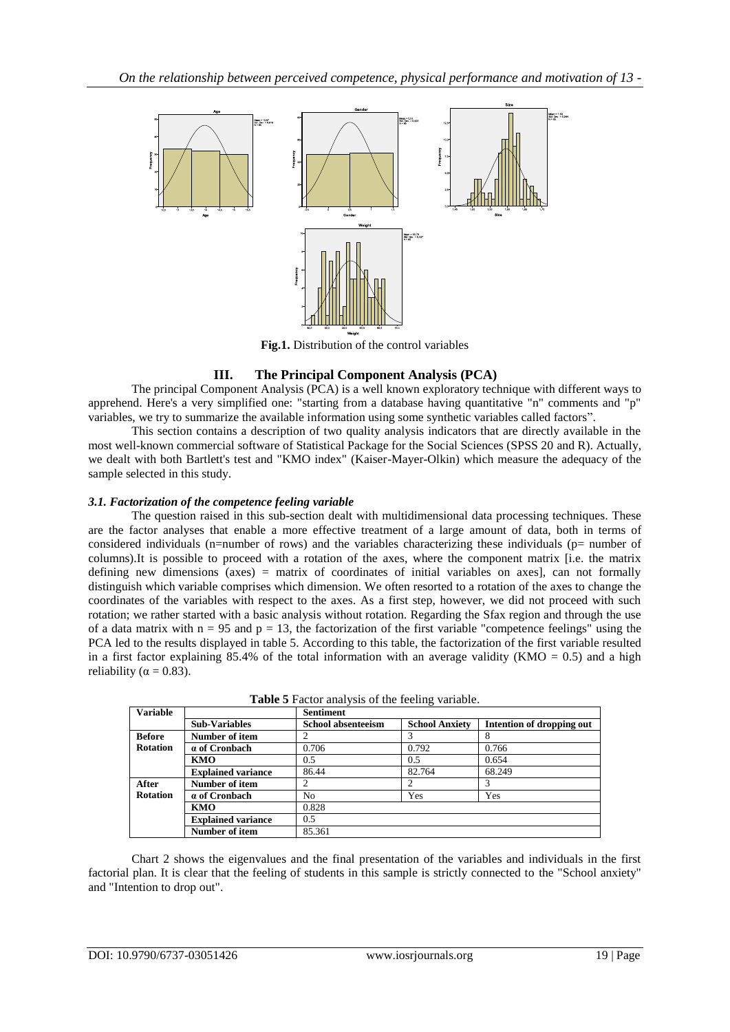

**Fig.1.** Distribution of the control variables

## **III. The Principal Component Analysis (PCA)**

The principal Component Analysis (PCA) is a well known exploratory technique with different ways to apprehend. Here's a very simplified one: "starting from a database having quantitative "n" comments and "p" variables, we try to summarize the available information using some synthetic variables called factors".

This section contains a description of two quality analysis indicators that are directly available in the most well-known commercial software of Statistical Package for the Social Sciences (SPSS 20 and R). Actually, we dealt with both Bartlett's test and "KMO index" (Kaiser-Mayer-Olkin) which measure the adequacy of the sample selected in this study.

## *3.1. Factorization of the competence feeling variable*

The question raised in this sub-section dealt with multidimensional data processing techniques. These are the factor analyses that enable a more effective treatment of a large amount of data, both in terms of considered individuals (n=number of rows) and the variables characterizing these individuals ( $p=$  number of columns).It is possible to proceed with a rotation of the axes, where the component matrix [i.e. the matrix defining new dimensions (axes) = matrix of coordinates of initial variables on axes], can not formally distinguish which variable comprises which dimension. We often resorted to a rotation of the axes to change the coordinates of the variables with respect to the axes. As a first step, however, we did not proceed with such rotation; we rather started with a basic analysis without rotation. Regarding the Sfax region and through the use of a data matrix with  $n = 95$  and  $p = 13$ , the factorization of the first variable "competence feelings" using the PCA led to the results displayed in table 5. According to this table, the factorization of the first variable resulted in a first factor explaining 85.4% of the total information with an average validity (KMO = 0.5) and a high reliability ( $\alpha = 0.83$ ).

| <b>Variable</b> |                           | <b>Sentiment</b>          |                       |                           |
|-----------------|---------------------------|---------------------------|-----------------------|---------------------------|
|                 | <b>Sub-Variables</b>      | <b>School absenteeism</b> | <b>School Anxiety</b> | Intention of dropping out |
| <b>Before</b>   | Number of item            |                           |                       |                           |
| <b>Rotation</b> | a of Cronbach             | 0.706                     | 0.792                 | 0.766                     |
|                 | <b>KMO</b>                | 0.5                       | 0.5                   | 0.654                     |
|                 | <b>Explained variance</b> | 86.44                     | 82.764                | 68.249                    |
| After           | Number of item            |                           |                       |                           |
| <b>Rotation</b> | a of Cronbach             | No                        | Yes                   | Yes                       |
|                 | KMO                       | 0.828                     |                       |                           |
|                 | <b>Explained variance</b> | 0.5                       |                       |                           |
|                 | Number of item            | 85.361                    |                       |                           |

**Table 5** Factor analysis of the feeling variable.

Chart 2 shows the eigenvalues and the final presentation of the variables and individuals in the first factorial plan. It is clear that the feeling of students in this sample is strictly connected to the "School anxiety" and "Intention to drop out".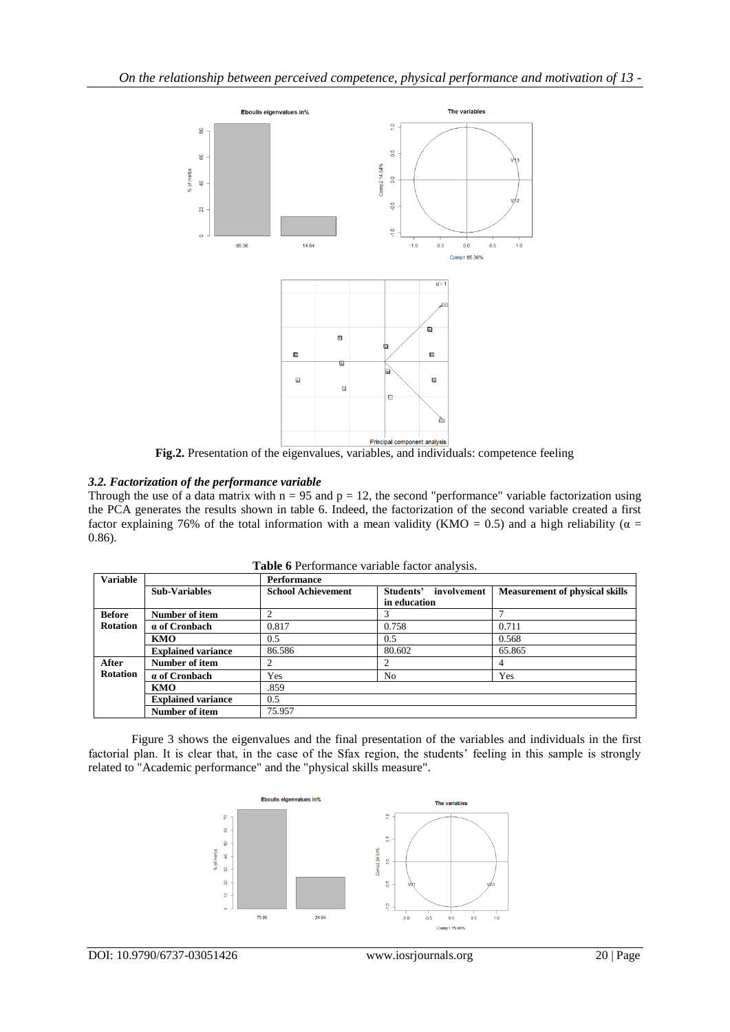

**Fig.2.** Presentation of the eigenvalues, variables, and individuals: competence feeling

## *3.2. Factorization of the performance variable*

Through the use of a data matrix with  $n = 95$  and  $p = 12$ , the second "performance" variable factorization using the PCA generates the results shown in table 6. Indeed, the factorization of the second variable created a first factor explaining 76% of the total information with a mean validity (KMO = 0.5) and a high reliability ( $\alpha$  = 0.86).

| <b>Variable</b> |                           | Performance               |                          |                                       |
|-----------------|---------------------------|---------------------------|--------------------------|---------------------------------------|
|                 | <b>Sub-Variables</b>      | <b>School Achievement</b> | involvement<br>Students' | <b>Measurement of physical skills</b> |
|                 |                           |                           | in education             |                                       |
| <b>Before</b>   | Number of item            |                           | 3                        |                                       |
| <b>Rotation</b> | a of Cronbach             | 0.817                     | 0.758                    | 0.711                                 |
|                 | KMO                       | 0.5                       | 0.5                      | 0.568                                 |
|                 | <b>Explained variance</b> | 86.586                    | 80.602                   | 65.865                                |
| After           | Number of item            |                           | 2                        | 4                                     |
| <b>Rotation</b> | a of Cronbach             | Yes                       | N <sub>0</sub>           | Yes                                   |
|                 | KMO                       | .859                      |                          |                                       |
|                 | <b>Explained variance</b> | 0.5                       |                          |                                       |
|                 | Number of item            | 75.957                    |                          |                                       |

**Table 6** Performance variable factor analysis.

Figure 3 shows the eigenvalues and the final presentation of the variables and individuals in the first factorial plan. It is clear that, in the case of the Sfax region, the students' feeling in this sample is strongly related to "Academic performance" and the "physical skills measure".

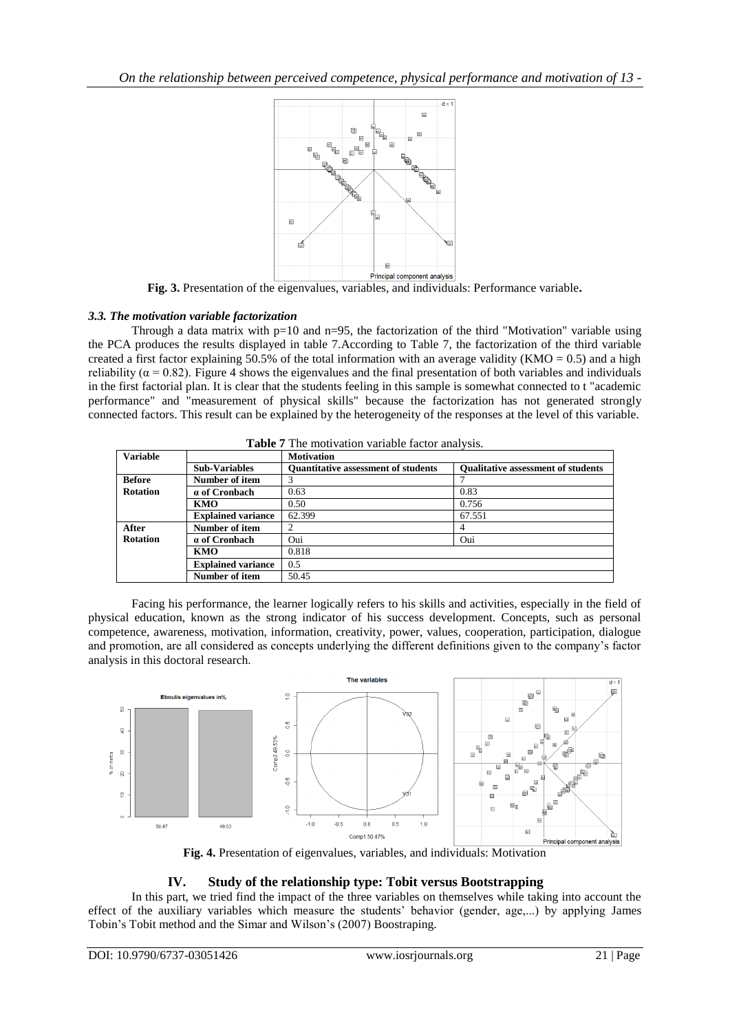

**Fig. 3.** Presentation of the eigenvalues, variables, and individuals: Performance variable**.**

## *3.3. The motivation variable factorization*

Through a data matrix with  $p=10$  and  $n=95$ , the factorization of the third "Motivation" variable using the PCA produces the results displayed in table 7.According to Table 7, the factorization of the third variable created a first factor explaining 50.5% of the total information with an average validity (KMO = 0.5) and a high reliability ( $\alpha$  = 0.82). Figure 4 shows the eigenvalues and the final presentation of both variables and individuals in the first factorial plan. It is clear that the students feeling in this sample is somewhat connected to t "academic performance" and "measurement of physical skills" because the factorization has not generated strongly connected factors. This result can be explained by the heterogeneity of the responses at the level of this variable.

|                 | <b>Table</b> 7 The motivation variable factor analysis. |                                            |                                           |  |  |
|-----------------|---------------------------------------------------------|--------------------------------------------|-------------------------------------------|--|--|
| <b>Variable</b> |                                                         | <b>Motivation</b>                          |                                           |  |  |
|                 | <b>Sub-Variables</b>                                    | <b>Ouantitative assessment of students</b> | <b>Oualitative assessment of students</b> |  |  |
| <b>Before</b>   | Number of item                                          | 3                                          |                                           |  |  |
| <b>Rotation</b> | a of Cronbach                                           | 0.63                                       | 0.83                                      |  |  |
|                 | KMO.                                                    | 0.50                                       | 0.756                                     |  |  |
|                 | <b>Explained variance</b>                               | 62.399                                     | 67.551                                    |  |  |
| After           | Number of item                                          | 2                                          | 4                                         |  |  |
| <b>Rotation</b> | a of Cronbach                                           | Oui                                        | Oui                                       |  |  |
|                 | KMO                                                     | 0.818                                      |                                           |  |  |
|                 | <b>Explained variance</b>                               | 0.5                                        |                                           |  |  |
|                 | Number of item                                          | 50.45                                      |                                           |  |  |

**Table 7** The motivation variable factor analysis.

Facing his performance, the learner logically refers to his skills and activities, especially in the field of physical education, known as the strong indicator of his success development. Concepts, such as personal competence, awareness, motivation, information, creativity, power, values, cooperation, participation, dialogue and promotion, are all considered as concepts underlying the different definitions given to the company's factor analysis in this doctoral research.



**Fig. 4.** Presentation of eigenvalues, variables, and individuals: Motivation

## **IV. Study of the relationship type: Tobit versus Bootstrapping**

In this part, we tried find the impact of the three variables on themselves while taking into account the effect of the auxiliary variables which measure the students' behavior (gender, age,...) by applying James Tobin's Tobit method and the Simar and Wilson's (2007) Boostraping.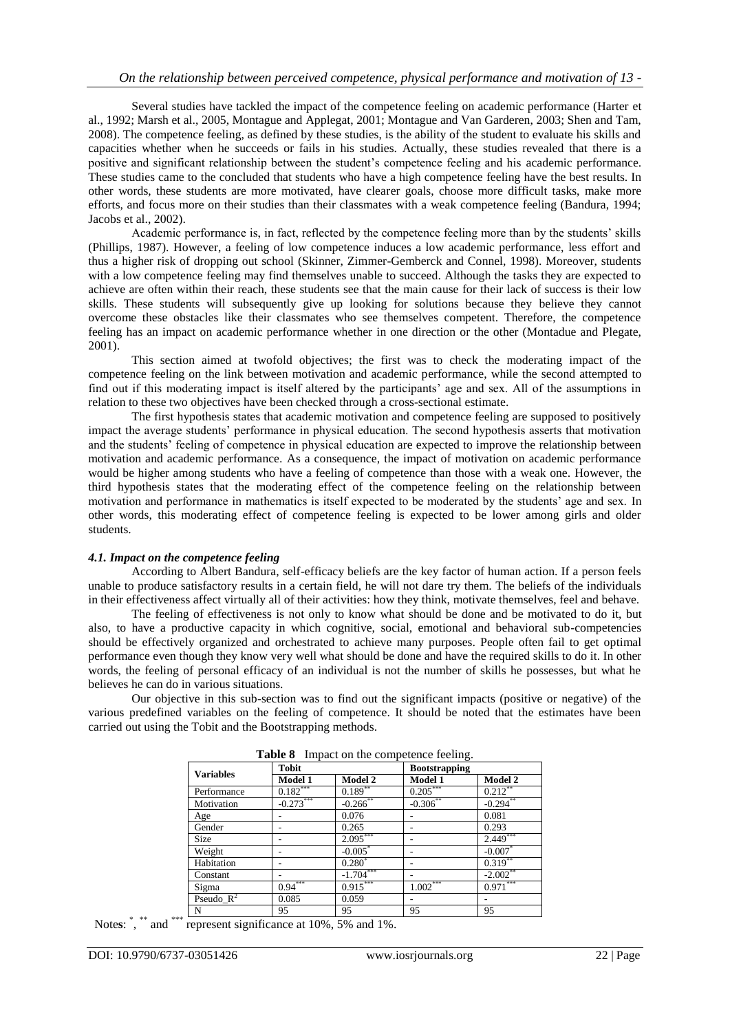Several studies have tackled the impact of the competence feeling on academic performance (Harter et al., 1992; Marsh et al., 2005, Montague and Applegat, 2001; Montague and Van Garderen, 2003; Shen and Tam, 2008). The competence feeling, as defined by these studies, is the ability of the student to evaluate his skills and capacities whether when he succeeds or fails in his studies. Actually, these studies revealed that there is a positive and significant relationship between the student's competence feeling and his academic performance. These studies came to the concluded that students who have a high competence feeling have the best results. In other words, these students are more motivated, have clearer goals, choose more difficult tasks, make more efforts, and focus more on their studies than their classmates with a weak competence feeling (Bandura, 1994; Jacobs et al., 2002).

Academic performance is, in fact, reflected by the competence feeling more than by the students' skills (Phillips, 1987). However, a feeling of low competence induces a low academic performance, less effort and thus a higher risk of dropping out school (Skinner, Zimmer-Gemberck and Connel, 1998). Moreover, students with a low competence feeling may find themselves unable to succeed. Although the tasks they are expected to achieve are often within their reach, these students see that the main cause for their lack of success is their low skills. These students will subsequently give up looking for solutions because they believe they cannot overcome these obstacles like their classmates who see themselves competent. Therefore, the competence feeling has an impact on academic performance whether in one direction or the other (Montadue and Plegate, 2001).

This section aimed at twofold objectives; the first was to check the moderating impact of the competence feeling on the link between motivation and academic performance, while the second attempted to find out if this moderating impact is itself altered by the participants' age and sex. All of the assumptions in relation to these two objectives have been checked through a cross-sectional estimate.

The first hypothesis states that academic motivation and competence feeling are supposed to positively impact the average students' performance in physical education. The second hypothesis asserts that motivation and the students' feeling of competence in physical education are expected to improve the relationship between motivation and academic performance. As a consequence, the impact of motivation on academic performance would be higher among students who have a feeling of competence than those with a weak one. However, the third hypothesis states that the moderating effect of the competence feeling on the relationship between motivation and performance in mathematics is itself expected to be moderated by the students' age and sex. In other words, this moderating effect of competence feeling is expected to be lower among girls and older students.

#### *4.1. Impact on the competence feeling*

According to Albert Bandura, self-efficacy beliefs are the key factor of human action. If a person feels unable to produce satisfactory results in a certain field, he will not dare try them. The beliefs of the individuals in their effectiveness affect virtually all of their activities: how they think, motivate themselves, feel and behave.

The feeling of effectiveness is not only to know what should be done and be motivated to do it, but also, to have a productive capacity in which cognitive, social, emotional and behavioral sub-competencies should be effectively organized and orchestrated to achieve many purposes. People often fail to get optimal performance even though they know very well what should be done and have the required skills to do it. In other words, the feeling of personal efficacy of an individual is not the number of skills he possesses, but what he believes he can do in various situations.

Our objective in this sub-section was to find out the significant impacts (positive or negative) of the various predefined variables on the feeling of competence. It should be noted that the estimates have been carried out using the Tobit and the Bootstrapping methods.

| <b>Variables</b> | <b>Tobit</b>   |             | <b>Bootstrapping</b> |             |
|------------------|----------------|-------------|----------------------|-------------|
|                  | <b>Model 1</b> | Model 2     | Model 1              | Model 2     |
| Performance      | $0.182***$     | $0.189**$   | $0.205***$           | $0.212$ **  |
| Motivation       | $-0.273***$    | $-0.266$ ** | $-0.306$ **          | $-0.294$ ** |
| Age              |                | 0.076       |                      | 0.081       |
| Gender           |                | 0.265       |                      | 0.293       |
| Size             |                | $2.095***$  |                      | $2.449***$  |
| Weight           |                | $-0.005*$   |                      | $-0.007*$   |
| Habitation       |                | $0.280*$    |                      | $0.319***$  |
| Constant         |                | $-1.704***$ |                      | $-2.002$ ** |
| Sigma            | $0.94***$      | $0.915***$  | $1.002***$           | $0.971***$  |
| Pseudo $R^2$     | 0.085          | 0.059       |                      |             |
| N                | 95             | 95          | 95                   | 95          |

**Table 8** Impact on the competence feeling.

Notes: \*, \*\* and \*\*\* represent significance at 10%, 5% and 1%.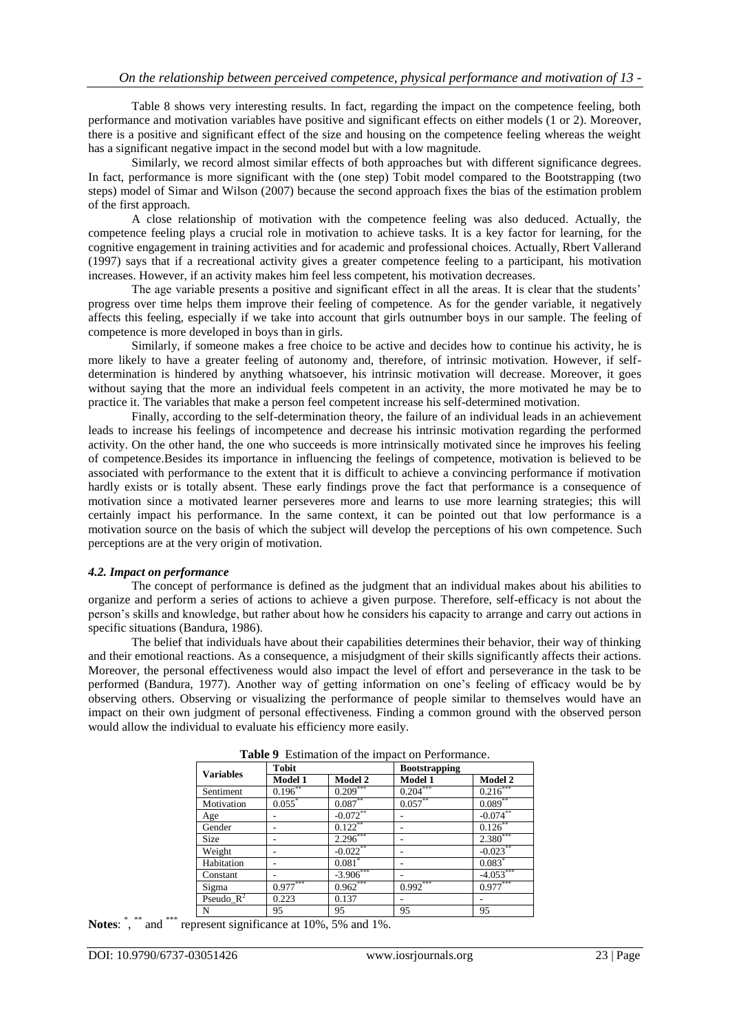Table 8 shows very interesting results. In fact, regarding the impact on the competence feeling, both performance and motivation variables have positive and significant effects on either models (1 or 2). Moreover, there is a positive and significant effect of the size and housing on the competence feeling whereas the weight has a significant negative impact in the second model but with a low magnitude.

Similarly, we record almost similar effects of both approaches but with different significance degrees. In fact, performance is more significant with the (one step) Tobit model compared to the Bootstrapping (two steps) model of Simar and Wilson (2007) because the second approach fixes the bias of the estimation problem of the first approach.

A close relationship of motivation with the competence feeling was also deduced. Actually, the competence feeling plays a crucial role in motivation to achieve tasks. It is a key factor for learning, for the cognitive engagement in training activities and for academic and professional choices. Actually, Rbert Vallerand (1997) says that if a recreational activity gives a greater competence feeling to a participant, his motivation increases. However, if an activity makes him feel less competent, his motivation decreases.

The age variable presents a positive and significant effect in all the areas. It is clear that the students' progress over time helps them improve their feeling of competence. As for the gender variable, it negatively affects this feeling, especially if we take into account that girls outnumber boys in our sample. The feeling of competence is more developed in boys than in girls.

Similarly, if someone makes a free choice to be active and decides how to continue his activity, he is more likely to have a greater feeling of autonomy and, therefore, of intrinsic motivation. However, if selfdetermination is hindered by anything whatsoever, his intrinsic motivation will decrease. Moreover, it goes without saying that the more an individual feels competent in an activity, the more motivated he may be to practice it. The variables that make a person feel competent increase his self-determined motivation.

Finally, according to the self-determination theory, the failure of an individual leads in an achievement leads to increase his feelings of incompetence and decrease his intrinsic motivation regarding the performed activity. On the other hand, the one who succeeds is more intrinsically motivated since he improves his feeling of competence.Besides its importance in influencing the feelings of competence, motivation is believed to be associated with performance to the extent that it is difficult to achieve a convincing performance if motivation hardly exists or is totally absent. These early findings prove the fact that performance is a consequence of motivation since a motivated learner perseveres more and learns to use more learning strategies; this will certainly impact his performance. In the same context, it can be pointed out that low performance is a motivation source on the basis of which the subject will develop the perceptions of his own competence. Such perceptions are at the very origin of motivation.

#### *4.2. Impact on performance*

The concept of performance is defined as the judgment that an individual makes about his abilities to organize and perform a series of actions to achieve a given purpose. Therefore, self-efficacy is not about the person's skills and knowledge, but rather about how he considers his capacity to arrange and carry out actions in specific situations (Bandura, 1986).

The belief that individuals have about their capabilities determines their behavior, their way of thinking and their emotional reactions. As a consequence, a misjudgment of their skills significantly affects their actions. Moreover, the personal effectiveness would also impact the level of effort and perseverance in the task to be performed (Bandura, 1977). Another way of getting information on one's feeling of efficacy would be by observing others. Observing or visualizing the performance of people similar to themselves would have an impact on their own judgment of personal effectiveness. Finding a common ground with the observed person would allow the individual to evaluate his efficiency more easily.

| <b>Variables</b> | <b>Tobit</b>         |                      | <b>Bootstrapping</b> |             |
|------------------|----------------------|----------------------|----------------------|-------------|
|                  | Model 1              | Model 2              | Model 1              | Model 2     |
| Sentiment        | $0.196***$           | $0.209***$           | $0.204***$           | $0.216***$  |
| Motivation       | $0.055$ <sup>*</sup> | $0.087**$            | $0.057***$           | $0.089**$   |
| Age              |                      | $-0.072***$          |                      | $-0.074***$ |
| Gender           |                      | $0.122***$           |                      | 0.126       |
| <b>Size</b>      |                      | $2.296***$           |                      | $2.380***$  |
| Weight           |                      | $-0.022$ **          |                      | $-0.023***$ |
| Habitation       |                      | $0.081$ <sup>*</sup> |                      | $0.083*$    |
| Constant         |                      | $-3.906***$          |                      | $-4.053***$ |
| Sigma            | $0.977***$           | $0.962***$           | $0.992***$           | $0.977***$  |
| Pseudo $R^2$     | 0.223                | 0.137                |                      |             |
| N                | 95                   | 95                   | 95                   | 95          |

**Table 9** Estimation of the impact on Performance.

Notes: \*, \*\* and \*\*\* represent significance at 10%, 5% and 1%.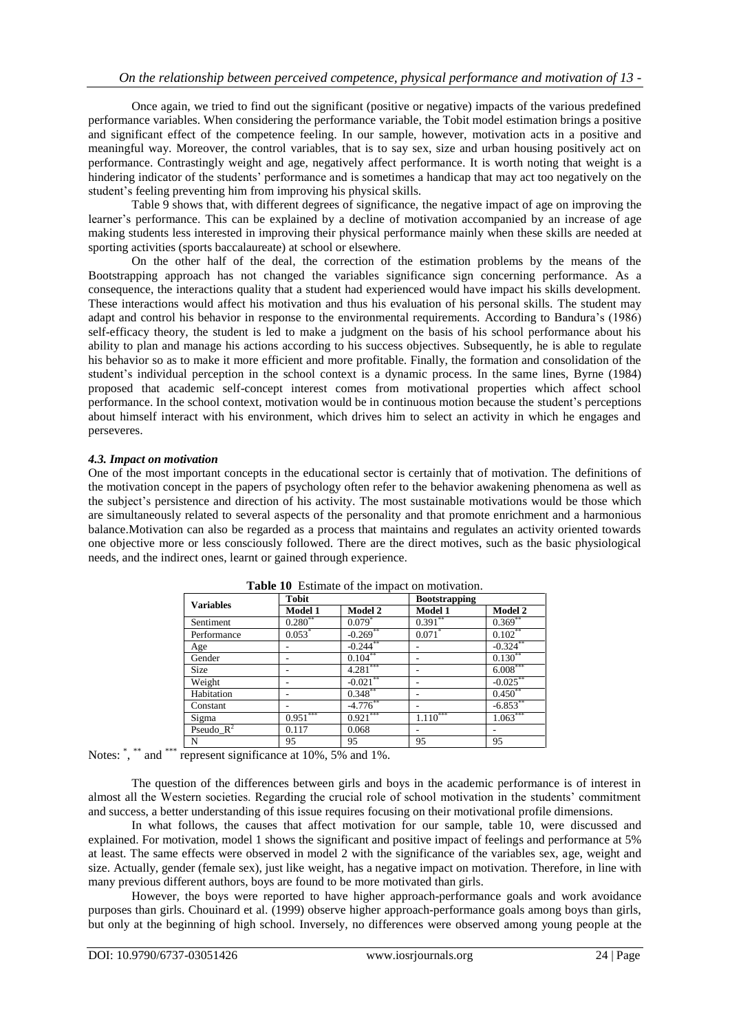Once again, we tried to find out the significant (positive or negative) impacts of the various predefined performance variables. When considering the performance variable, the Tobit model estimation brings a positive and significant effect of the competence feeling. In our sample, however, motivation acts in a positive and meaningful way. Moreover, the control variables, that is to say sex, size and urban housing positively act on performance. Contrastingly weight and age, negatively affect performance. It is worth noting that weight is a hindering indicator of the students' performance and is sometimes a handicap that may act too negatively on the student's feeling preventing him from improving his physical skills.

Table 9 shows that, with different degrees of significance, the negative impact of age on improving the learner's performance. This can be explained by a decline of motivation accompanied by an increase of age making students less interested in improving their physical performance mainly when these skills are needed at sporting activities (sports baccalaureate) at school or elsewhere.

On the other half of the deal, the correction of the estimation problems by the means of the Bootstrapping approach has not changed the variables significance sign concerning performance. As a consequence, the interactions quality that a student had experienced would have impact his skills development. These interactions would affect his motivation and thus his evaluation of his personal skills. The student may adapt and control his behavior in response to the environmental requirements. According to Bandura's (1986) self-efficacy theory, the student is led to make a judgment on the basis of his school performance about his ability to plan and manage his actions according to his success objectives. Subsequently, he is able to regulate his behavior so as to make it more efficient and more profitable. Finally, the formation and consolidation of the student's individual perception in the school context is a dynamic process. In the same lines, Byrne (1984) proposed that academic self-concept interest comes from motivational properties which affect school performance. In the school context, motivation would be in continuous motion because the student's perceptions about himself interact with his environment, which drives him to select an activity in which he engages and perseveres.

#### *4.3. Impact on motivation*

One of the most important concepts in the educational sector is certainly that of motivation. The definitions of the motivation concept in the papers of psychology often refer to the behavior awakening phenomena as well as the subject's persistence and direction of his activity. The most sustainable motivations would be those which are simultaneously related to several aspects of the personality and that promote enrichment and a harmonious balance.Motivation can also be regarded as a process that maintains and regulates an activity oriented towards one objective more or less consciously followed. There are the direct motives, such as the basic physiological needs, and the indirect ones, learnt or gained through experience.

| <b>Variables</b> | <b>Tobit</b> |             | <b>Bootstrapping</b>     |                |
|------------------|--------------|-------------|--------------------------|----------------|
|                  | Model 1      | Model 2     | Model 1                  | <b>Model 2</b> |
| Sentiment        | $0.280**$    | $0.079*$    | $0.391**$                | $0.369**$      |
| Performance      | $0.053*$     | $-0.269$ ** | $0.071$ *                | $0.102**$      |
| Age              |              | $-0.244$ ** |                          | $-0.324$ **    |
| Gender           |              | $0.104***$  |                          | $0.130**$      |
| Size             |              | $4.281***$  | -                        | $6.008***$     |
| Weight           |              | $-0.021$ ** | $\overline{\phantom{a}}$ | $-0.025$ **    |
| Habitation       |              | $0.348***$  |                          | $0.450**$      |
| Constant         |              | $-4.776$ ** |                          | $-6.853$ **    |
| Sigma            | $0.951***$   | $0.921***$  | $\frac{1.1}{10^{***}}$   | $1.063***$     |
| Pseudo $R^2$     | 0.117        | 0.068       | -                        | ۰              |
| N                | 95           | 95          | 95                       | 95             |

**Table 10** Estimate of the impact on motivation.

Notes: \*, \*\* and \*\*\* represent significance at 10%, 5% and 1%.

The question of the differences between girls and boys in the academic performance is of interest in almost all the Western societies. Regarding the crucial role of school motivation in the students' commitment and success, a better understanding of this issue requires focusing on their motivational profile dimensions.

In what follows, the causes that affect motivation for our sample, table 10, were discussed and explained. For motivation, model 1 shows the significant and positive impact of feelings and performance at 5% at least. The same effects were observed in model 2 with the significance of the variables sex, age, weight and size. Actually, gender (female sex), just like weight, has a negative impact on motivation. Therefore, in line with many previous different authors, boys are found to be more motivated than girls.

However, the boys were reported to have higher approach-performance goals and work avoidance purposes than girls. Chouinard et al. (1999) observe higher approach-performance goals among boys than girls, but only at the beginning of high school. Inversely, no differences were observed among young people at the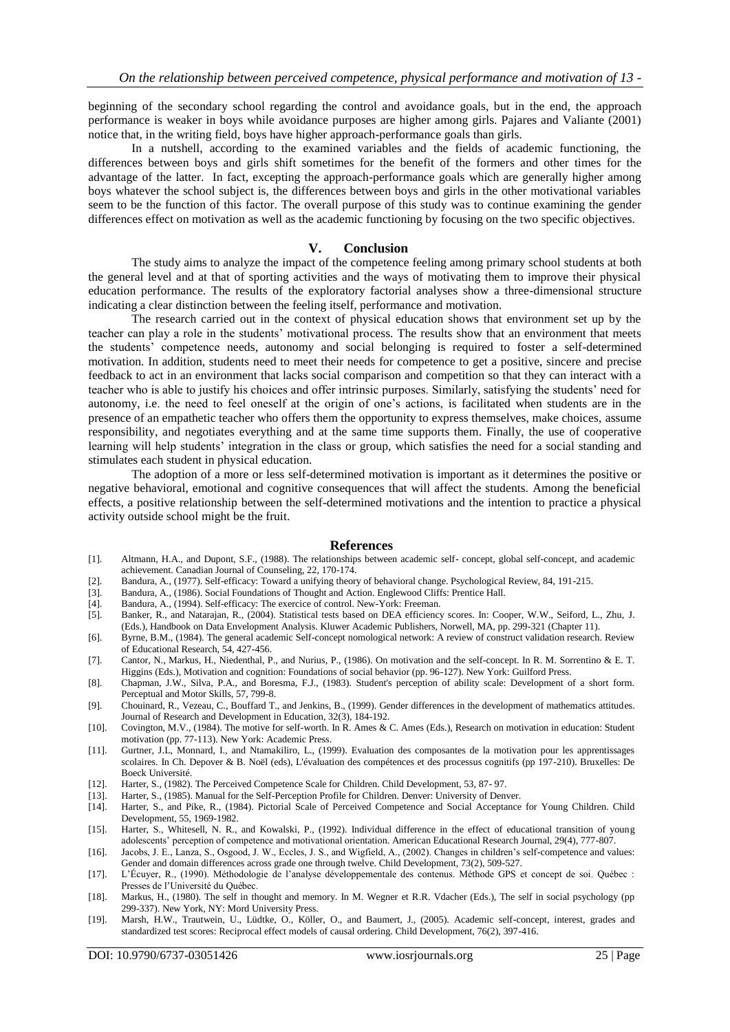beginning of the secondary school regarding the control and avoidance goals, but in the end, the approach performance is weaker in boys while avoidance purposes are higher among girls. Pajares and Valiante (2001) notice that, in the writing field, boys have higher approach-performance goals than girls.

In a nutshell, according to the examined variables and the fields of academic functioning, the differences between boys and girls shift sometimes for the benefit of the formers and other times for the advantage of the latter. In fact, excepting the approach-performance goals which are generally higher among boys whatever the school subject is, the differences between boys and girls in the other motivational variables seem to be the function of this factor. The overall purpose of this study was to continue examining the gender differences effect on motivation as well as the academic functioning by focusing on the two specific objectives.

#### **V. Conclusion**

The study aims to analyze the impact of the competence feeling among primary school students at both the general level and at that of sporting activities and the ways of motivating them to improve their physical education performance. The results of the exploratory factorial analyses show a three-dimensional structure indicating a clear distinction between the feeling itself, performance and motivation.

The research carried out in the context of physical education shows that environment set up by the teacher can play a role in the students' motivational process. The results show that an environment that meets the students' competence needs, autonomy and social belonging is required to foster a self-determined motivation. In addition, students need to meet their needs for competence to get a positive, sincere and precise feedback to act in an environment that lacks social comparison and competition so that they can interact with a teacher who is able to justify his choices and offer intrinsic purposes. Similarly, satisfying the students' need for autonomy, i.e. the need to feel oneself at the origin of one's actions, is facilitated when students are in the presence of an empathetic teacher who offers them the opportunity to express themselves, make choices, assume responsibility, and negotiates everything and at the same time supports them. Finally, the use of cooperative learning will help students' integration in the class or group, which satisfies the need for a social standing and stimulates each student in physical education.

The adoption of a more or less self-determined motivation is important as it determines the positive or negative behavioral, emotional and cognitive consequences that will affect the students. Among the beneficial effects, a positive relationship between the self-determined motivations and the intention to practice a physical activity outside school might be the fruit.

#### **References**

- [1]. Altmann, H.A., and Dupont, S.F., (1988). The relationships between academic self- concept, global self-concept, and academic achievement. Canadian Journal of Counseling, 22, 170-174.
- [2]. Bandura, A., (1977). Self-efficacy: Toward a unifying theory of behavioral change. Psychological Review, 84, 191-215.
- [3]. Bandura, A., (1986). Social Foundations of Thought and Action. Englewood Cliffs: Prentice Hall.
- [4]. Bandura, A., (1994). Self-efficacy: The exercice of control. New-York: Freeman.
- [5]. Banker, R., and Natarajan, R., (2004). Statistical tests based on DEA efficiency scores. In: Cooper, W.W., Seiford, L., Zhu, J.
- (Eds.), Handbook on Data Envelopment Analysis. Kluwer Academic Publishers, Norwell, MA, pp. 299-321 (Chapter 11).
- [6]. Byrne, B.M., (1984). The general academic Self-concept nomological network: A review of construct validation research. Review of Educational Research, 54, 427-456.
- [7]. Cantor, N., Markus, H., Niedenthal, P., and Nurius, P., (1986). On motivation and the self-concept. In R. M. Sorrentino & E. T. Higgins (Eds.), Motivation and cognition: Foundations of social behavior (pp. 96-127). New York: Guilford Press.
- [8]. Chapman, J.W., Silva, P.A., and Boresma, F.J., (1983). Student's perception of ability scale: Development of a short form. Perceptual and Motor Skills, 57, 799-8.
- [9]. Chouinard, R., Vezeau, C., Bouffard T., and Jenkins, B., (1999). Gender differences in the development of mathematics attitudes. Journal of Research and Development in Education, 32(3), 184-192.
- [10]. Covington, M.V., (1984). The motive for self-worth. In R. Ames & C. Ames (Eds.), Research on motivation in education: Student motivation (pp. 77-113). New York: Academic Press.
- [11]. Gurtner, J.L, Monnard, I., and Ntamakiliro, L., (1999). Evaluation des composantes de la motivation pour les apprentissages scolaires. In Ch. Depover & B. Noël (eds), L'évaluation des compétences et des processus cognitifs (pp 197-210). Bruxelles: De Boeck Université.
- [12]. Harter, S., (1982). The Perceived Competence Scale for Children. Child Development, 53, 87- 97.
- [13]. Harter, S., (1985). Manual for the Self-Perception Profile for Children. Denver: University of Denver.
- [14]. Harter, S., and Pike, R., (1984). Pictorial Scale of Perceived Competence and Social Acceptance for Young Children. Child Development, 55, 1969-1982.
- [15]. Harter, S., Whitesell, N. R., and Kowalski, P., (1992). Individual difference in the effect of educational transition of young adolescents' perception of competence and motivational orientation. American Educational Research Journal, 29(4), 777-807.
- [16]. Jacobs, J. E., Lanza, S., Osgood, J. W., Eccles, J. S., and Wigfield, A., (2002). Changes in children's self-competence and values: Gender and domain differences across grade one through twelve. Child Development, 73(2), 509-527.
- [17]. L'Écuyer, R., (1990). Méthodologie de l'analyse développementale des contenus. Méthode GPS et concept de soi. Québec : Presses de l'Université du Québec.
- [18]. Markus, H., (1980). The self in thought and memory. In M. Wegner et R.R. Vdacher (Eds.), The self in social psychology (pp 299-337). New York, NY: Mord University Press.
- [19]. Marsh, H.W., Trautwein, U., Lüdtke, O., Köller, O., and Baumert, J., (2005). Academic self-concept, interest, grades and standardized test scores: Reciprocal effect models of causal ordering. Child Development, 76(2), 397-416.